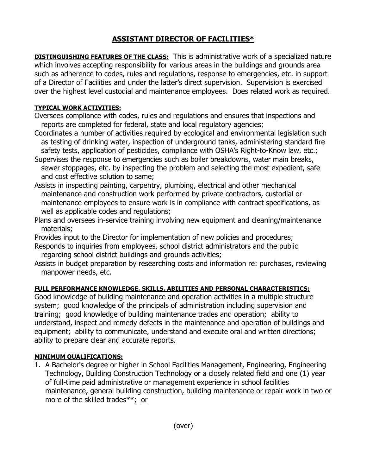## **ASSISTANT DIRECTOR OF FACILITIES\***

**DISTINGUISHING FEATURES OF THE CLASS:** This is administrative work of a specialized nature which involves accepting responsibility for various areas in the buildings and grounds area such as adherence to codes, rules and regulations, response to emergencies, etc. in support of a Director of Facilities and under the latter's direct supervision. Supervision is exercised over the highest level custodial and maintenance employees. Does related work as required.

## **TYPICAL WORK ACTIVITIES:**

- Oversees compliance with codes, rules and regulations and ensures that inspections and reports are completed for federal, state and local regulatory agencies;
- Coordinates a number of activities required by ecological and environmental legislation such as testing of drinking water, inspection of underground tanks, administering standard fire safety tests, application of pesticides, compliance with OSHA's Right-to-Know law, etc.;
- Supervises the response to emergencies such as boiler breakdowns, water main breaks, sewer stoppages, etc. by inspecting the problem and selecting the most expedient, safe and cost effective solution to same;
- Assists in inspecting painting, carpentry, plumbing, electrical and other mechanical maintenance and construction work performed by private contractors, custodial or maintenance employees to ensure work is in compliance with contract specifications, as well as applicable codes and regulations;
- Plans and oversees in-service training involving new equipment and cleaning/maintenance materials;
- Provides input to the Director for implementation of new policies and procedures;
- Responds to inquiries from employees, school district administrators and the public regarding school district buildings and grounds activities;
- Assists in budget preparation by researching costs and information re: purchases, reviewing manpower needs, etc.

## **FULL PERFORMANCE KNOWLEDGE, SKILLS, ABILITIES AND PERSONAL CHARACTERISTICS:**

Good knowledge of building maintenance and operation activities in a multiple structure system; good knowledge of the principals of administration including supervision and training; good knowledge of building maintenance trades and operation; ability to understand, inspect and remedy defects in the maintenance and operation of buildings and equipment; ability to communicate, understand and execute oral and written directions; ability to prepare clear and accurate reports.

## **MINIMUM QUALIFICATIONS:**

1. A Bachelor's degree or higher in School Facilities Management, Engineering, Engineering Technology, Building Construction Technology or a closely related field and one (1) year of full-time paid administrative or management experience in school facilities maintenance, general building construction, building maintenance or repair work in two or more of the skilled trades\*\*; or